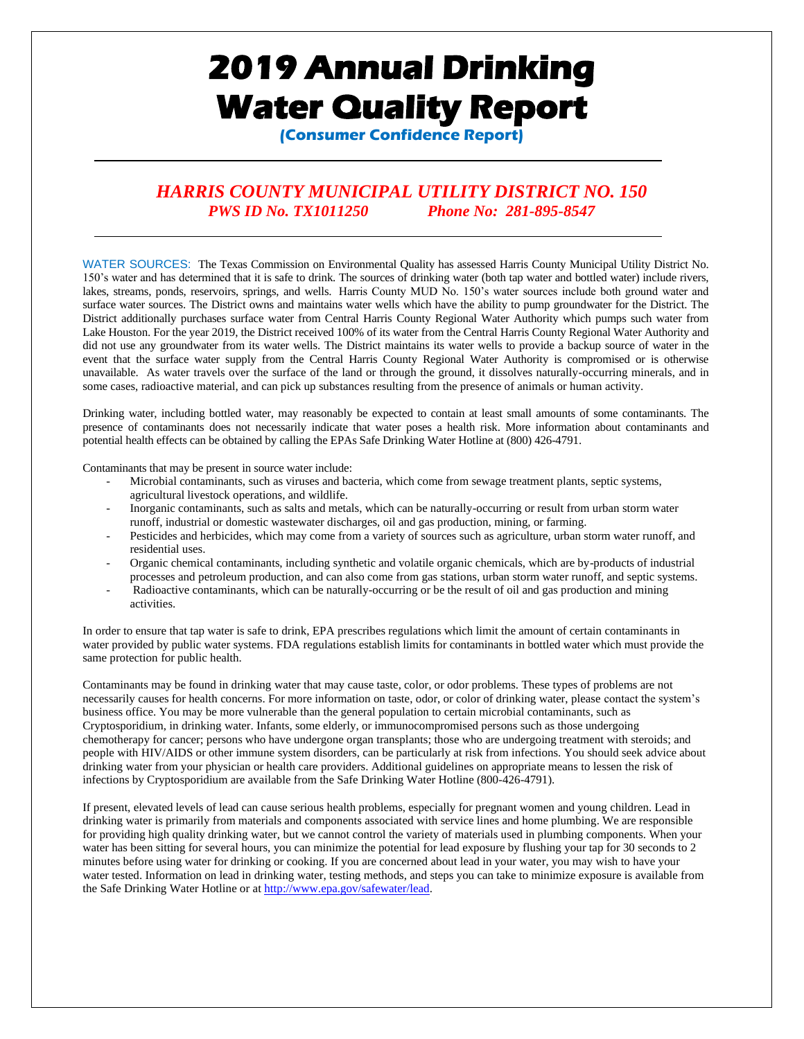# **2019 Annual Drinking Water Quality Report**

**(Consumer Confidence Report)**

# *HARRIS COUNTY MUNICIPAL UTILITY DISTRICT NO. 150 PWS ID No. TX1011250 Phone No: 281-895-8547*

WATER SOURCES: The Texas Commission on Environmental Quality has assessed Harris County Municipal Utility District No. 150's water and has determined that it is safe to drink. The sources of drinking water (both tap water and bottled water) include rivers, lakes, streams, ponds, reservoirs, springs, and wells. Harris County MUD No. 150's water sources include both ground water and surface water sources. The District owns and maintains water wells which have the ability to pump groundwater for the District. The District additionally purchases surface water from Central Harris County Regional Water Authority which pumps such water from Lake Houston. For the year 2019, the District received 100% of its water from the Central Harris County Regional Water Authority and did not use any groundwater from its water wells. The District maintains its water wells to provide a backup source of water in the event that the surface water supply from the Central Harris County Regional Water Authority is compromised or is otherwise unavailable. As water travels over the surface of the land or through the ground, it dissolves naturally-occurring minerals, and in some cases, radioactive material, and can pick up substances resulting from the presence of animals or human activity.

Drinking water, including bottled water, may reasonably be expected to contain at least small amounts of some contaminants. The presence of contaminants does not necessarily indicate that water poses a health risk. More information about contaminants and potential health effects can be obtained by calling the EPAs Safe Drinking Water Hotline at (800) 426-4791.

Contaminants that may be present in source water include:

- Microbial contaminants, such as viruses and bacteria, which come from sewage treatment plants, septic systems, agricultural livestock operations, and wildlife.
- Inorganic contaminants, such as salts and metals, which can be naturally-occurring or result from urban storm water runoff, industrial or domestic wastewater discharges, oil and gas production, mining, or farming.
- Pesticides and herbicides, which may come from a variety of sources such as agriculture, urban storm water runoff, and residential uses.
- Organic chemical contaminants, including synthetic and volatile organic chemicals, which are by-products of industrial processes and petroleum production, and can also come from gas stations, urban storm water runoff, and septic systems.
- Radioactive contaminants, which can be naturally-occurring or be the result of oil and gas production and mining activities.

In order to ensure that tap water is safe to drink, EPA prescribes regulations which limit the amount of certain contaminants in water provided by public water systems. FDA regulations establish limits for contaminants in bottled water which must provide the same protection for public health.

Contaminants may be found in drinking water that may cause taste, color, or odor problems. These types of problems are not necessarily causes for health concerns. For more information on taste, odor, or color of drinking water, please contact the system's business office. You may be more vulnerable than the general population to certain microbial contaminants, such as Cryptosporidium, in drinking water. Infants, some elderly, or immunocompromised persons such as those undergoing chemotherapy for cancer; persons who have undergone organ transplants; those who are undergoing treatment with steroids; and people with HIV/AIDS or other immune system disorders, can be particularly at risk from infections. You should seek advice about drinking water from your physician or health care providers. Additional guidelines on appropriate means to lessen the risk of infections by Cryptosporidium are available from the Safe Drinking Water Hotline (800-426-4791).

If present, elevated levels of lead can cause serious health problems, especially for pregnant women and young children. Lead in drinking water is primarily from materials and components associated with service lines and home plumbing. We are responsible for providing high quality drinking water, but we cannot control the variety of materials used in plumbing components. When your water has been sitting for several hours, you can minimize the potential for lead exposure by flushing your tap for 30 seconds to 2 minutes before using water for drinking or cooking. If you are concerned about lead in your water, you may wish to have your water tested. Information on lead in drinking water, testing methods, and steps you can take to minimize exposure is available from the Safe Drinking Water Hotline or a[t http://www.epa.gov/safewater/lead.](http://www.epa.gov/safewater/lead)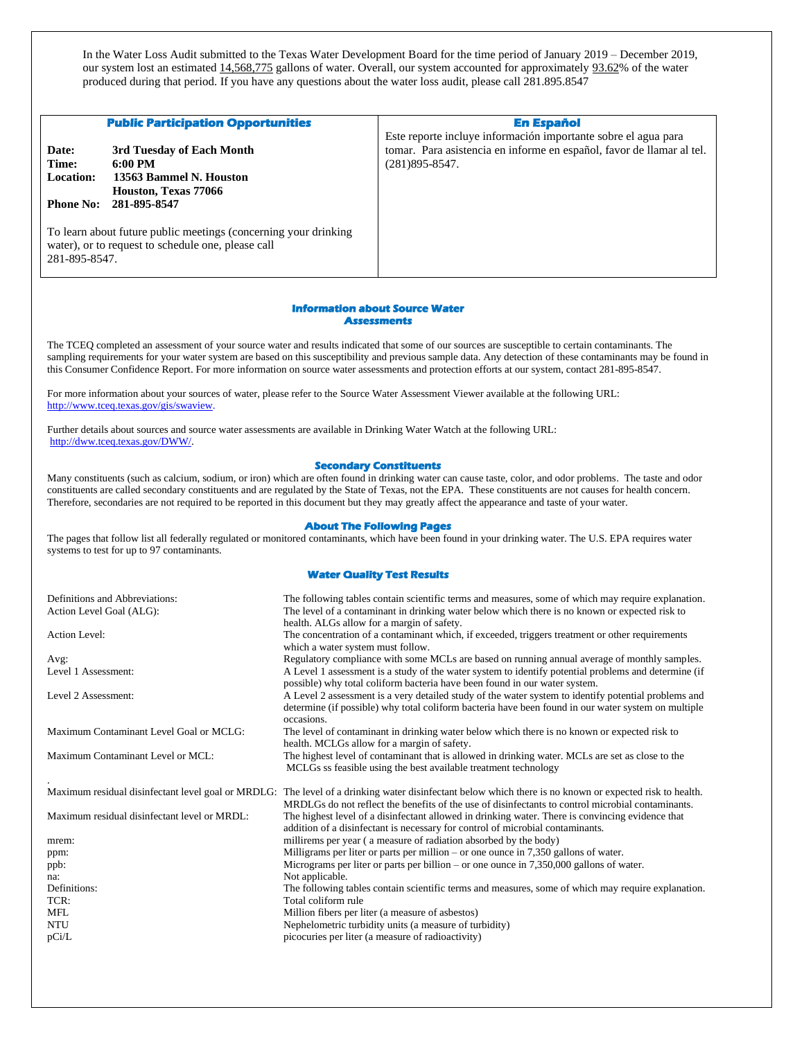In the Water Loss Audit submitted to the Texas Water Development Board for the time period of January 2019 – December 2019, our system lost an estimated 14,568,775 gallons of water. Overall, our system accounted for approximately 93.62% of the water produced during that period. If you have any questions about the water loss audit, please call 281.895.8547

|                                                 | <b>Public Participation Opportunities</b>                                                                             | <b>En Español</b><br>Este reporte incluye información importante sobre el agua para         |
|-------------------------------------------------|-----------------------------------------------------------------------------------------------------------------------|---------------------------------------------------------------------------------------------|
| Date:<br>Time:<br>Location:<br><b>Phone No:</b> | 3rd Tuesday of Each Month<br>$6:00 \text{ PM}$<br>13563 Bammel N. Houston<br>Houston, Texas 77066<br>281-895-8547     | tomar. Para asistencia en informe en español, favor de llamar al tel.<br>$(281)895 - 8547.$ |
| 281-895-8547.                                   | To learn about future public meetings (concerning your drinking<br>water), or to request to schedule one, please call |                                                                                             |

#### **Information about Source Water Assessments**

The TCEQ completed an assessment of your source water and results indicated that some of our sources are susceptible to certain contaminants. The sampling requirements for your water system are based on this susceptibility and previous sample data. Any detection of these contaminants may be found in this Consumer Confidence Report. For more information on source water assessments and protection efforts at our system, contact 281-895-8547.

For more information about your sources of water, please refer to the Source Water Assessment Viewer available at the following URL: [http://www.tceq.texas.gov/gis/swaview.](http://www.tceq.texas.gov/gis/swaview)

Further details about sources and source water assessments are available in Drinking Water Watch at the following URL: [http://dww.tceq.texas.gov/DWW/.](http://dww.tceq.texas.gov/DWW/) 

### **Secondary Constituents**

Many constituents (such as calcium, sodium, or iron) which are often found in drinking water can cause taste, color, and odor problems. The taste and odor constituents are called secondary constituents and are regulated by the State of Texas, not the EPA. These constituents are not causes for health concern. Therefore, secondaries are not required to be reported in this document but they may greatly affect the appearance and taste of your water.

#### **About The Following Pages**

The pages that follow list all federally regulated or monitored contaminants, which have been found in your drinking water. The U.S. EPA requires water systems to test for up to 97 contaminants.

#### **Water Quality Test Results**

| Definitions and Abbreviations:               | The following tables contain scientific terms and measures, some of which may require explanation.                                                                                 |
|----------------------------------------------|------------------------------------------------------------------------------------------------------------------------------------------------------------------------------------|
| Action Level Goal (ALG):                     | The level of a contaminant in drinking water below which there is no known or expected risk to                                                                                     |
|                                              | health. ALGs allow for a margin of safety.                                                                                                                                         |
| <b>Action Level:</b>                         | The concentration of a contaminant which, if exceeded, triggers treatment or other requirements                                                                                    |
|                                              | which a water system must follow.                                                                                                                                                  |
| Avg:                                         | Regulatory compliance with some MCLs are based on running annual average of monthly samples.                                                                                       |
| Level 1 Assessment:                          | A Level 1 assessment is a study of the water system to identify potential problems and determine (if<br>possible) why total coliform bacteria have been found in our water system. |
| Level 2 Assessment:                          | A Level 2 assessment is a very detailed study of the water system to identify potential problems and                                                                               |
|                                              | determine (if possible) why total coliform bacteria have been found in our water system on multiple                                                                                |
|                                              | occasions.                                                                                                                                                                         |
| Maximum Contaminant Level Goal or MCLG:      | The level of contaminant in drinking water below which there is no known or expected risk to                                                                                       |
|                                              | health. MCLGs allow for a margin of safety.                                                                                                                                        |
| Maximum Contaminant Level or MCL:            | The highest level of contaminant that is allowed in drinking water. MCLs are set as close to the                                                                                   |
|                                              | MCLGs ss feasible using the best available treatment technology                                                                                                                    |
|                                              | Maximum residual disinfectant level goal or MRDLG: The level of a drinking water disinfectant below which there is no known or expected risk to health.                            |
|                                              | MRDLGs do not reflect the benefits of the use of disinfectants to control microbial contaminants.                                                                                  |
|                                              |                                                                                                                                                                                    |
|                                              |                                                                                                                                                                                    |
| Maximum residual disinfectant level or MRDL: | The highest level of a disinfectant allowed in drinking water. There is convincing evidence that                                                                                   |
|                                              | addition of a disinfectant is necessary for control of microbial contaminants.                                                                                                     |
| mrem:                                        | millirems per year (a measure of radiation absorbed by the body)                                                                                                                   |
| ppm:                                         | Milligrams per liter or parts per million – or one ounce in $7,350$ gallons of water.                                                                                              |
| ppb:<br>na:                                  | Micrograms per liter or parts per billion – or one ounce in $7,350,000$ gallons of water.                                                                                          |
| Definitions:                                 | Not applicable.<br>The following tables contain scientific terms and measures, some of which may require explanation.                                                              |
| TCR:                                         | Total coliform rule                                                                                                                                                                |
| <b>MFL</b>                                   | Million fibers per liter (a measure of asbestos)                                                                                                                                   |
| <b>NTU</b>                                   | Nephelometric turbidity units (a measure of turbidity)                                                                                                                             |
| pCi/L                                        | picocuries per liter (a measure of radioactivity)                                                                                                                                  |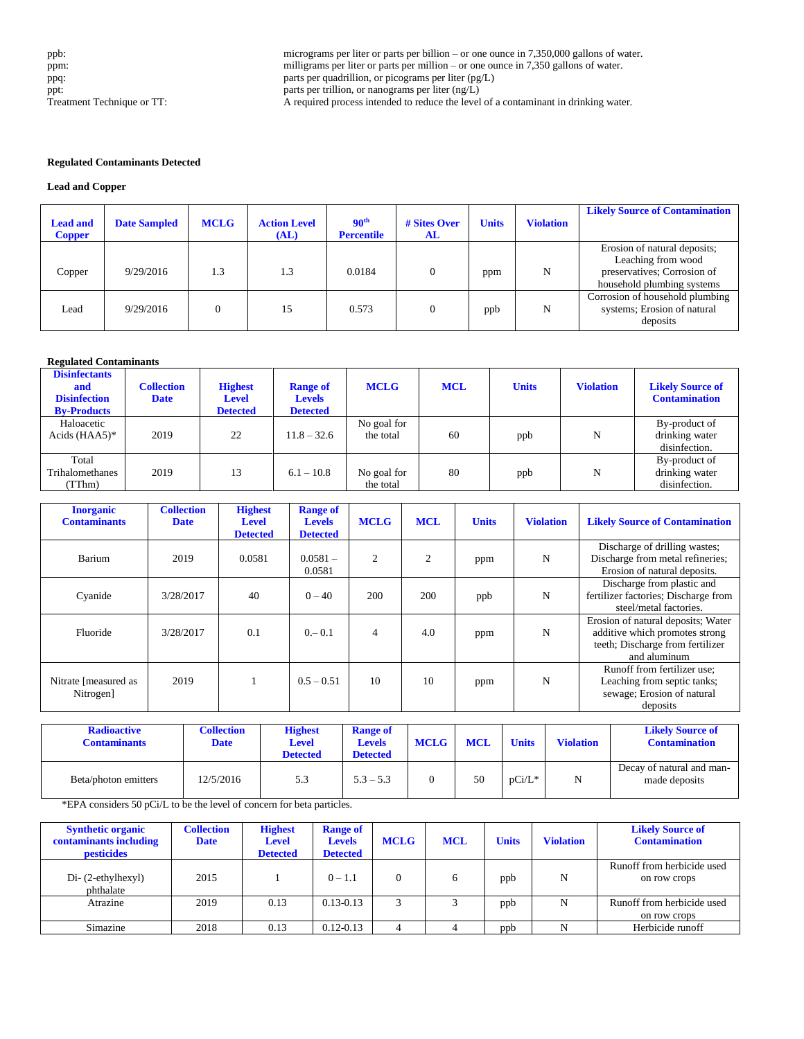ppb:<br>
micrograms per liter or parts per billion – or one ounce in 7,350,000 gallons of water.<br>
milligrams per liter or parts per million – or one ounce in 7,350 gallons of water. milligrams per liter or parts per million – or one ounce in 7,350 gallons of water. ppq: parts per quadrillion, or picograms per liter (pg/L) ppt: parts per trillion, or nanograms per liter (ng/L) Treatment Technique or TT: A required process intended to reduce the level of a contaminant in drinking water.

## **Regulated Contaminants Detected**

## **Lead and Copper**

| <b>Lead and</b><br><b>Copper</b> | <b>Date Sampled</b> | <b>MCLG</b> | <b>Action Level</b><br>(AL) | 90 <sup>th</sup><br><b>Percentile</b> | # Sites Over<br>AL | <b>Units</b> | <b>Violation</b> | <b>Likely Source of Contamination</b>                                                                           |
|----------------------------------|---------------------|-------------|-----------------------------|---------------------------------------|--------------------|--------------|------------------|-----------------------------------------------------------------------------------------------------------------|
| Copper                           | 9/29/2016           | 1.3         | 1.3                         | 0.0184                                |                    | ppm          | N                | Erosion of natural deposits;<br>Leaching from wood<br>preservatives; Corrosion of<br>household plumbing systems |
| Lead                             | 9/29/2016           |             | 15                          | 0.573                                 |                    | ppb          | N                | Corrosion of household plumbing<br>systems; Erosion of natural<br>deposits                                      |

# **Regulated Contaminants**

| <b>Disinfectants</b><br>and<br><b>Disinfection</b><br><b>By-Products</b> | <b>Collection</b><br><b>Date</b> | <b>Highest</b><br><b>Level</b><br><b>Detected</b> | <b>Range of</b><br><b>Levels</b><br><b>Detected</b> | <b>MCLG</b>              | <b>MCL</b> | <b>Units</b> | <b>Violation</b> | <b>Likely Source of</b><br><b>Contamination</b>  |
|--------------------------------------------------------------------------|----------------------------------|---------------------------------------------------|-----------------------------------------------------|--------------------------|------------|--------------|------------------|--------------------------------------------------|
| Haloacetic<br>Acids $(HAA5)^*$                                           | 2019                             | 22                                                | $11.8 - 32.6$                                       | No goal for<br>the total | 60         | ppb          | N                | By-product of<br>drinking water<br>disinfection. |
| Total<br>Trihalomethanes<br>(TThm)                                       | 2019                             | 13                                                | $6.1 - 10.8$                                        | No goal for<br>the total | 80         | ppb          | N                | By-product of<br>drinking water<br>disinfection. |

| <b>Inorganic</b><br><b>Contaminants</b> | <b>Collection</b><br><b>Date</b> | <b>Highest</b><br><b>Level</b><br><b>Detected</b> | <b>Range of</b><br><b>Levels</b><br><b>Detected</b> | <b>MCLG</b>    | <b>MCL</b>     | <b>Units</b> | <b>Violation</b> | <b>Likely Source of Contamination</b>                                                                                    |
|-----------------------------------------|----------------------------------|---------------------------------------------------|-----------------------------------------------------|----------------|----------------|--------------|------------------|--------------------------------------------------------------------------------------------------------------------------|
| Barium                                  | 2019                             | 0.0581                                            | $0.0581 -$<br>0.0581                                | $\mathfrak{D}$ | $\overline{c}$ | ppm          | N                | Discharge of drilling wastes;<br>Discharge from metal refineries;<br>Erosion of natural deposits.                        |
| Cyanide                                 | 3/28/2017                        | 40                                                | $0 - 40$                                            | 200            | 200            | ppb          | N                | Discharge from plastic and<br>fertilizer factories; Discharge from<br>steel/metal factories.                             |
| Fluoride                                | 3/28/2017                        | 0.1                                               | $0 - 0.1$                                           | 4              | 4.0            | ppm          | N                | Erosion of natural deposits; Water<br>additive which promotes strong<br>teeth; Discharge from fertilizer<br>and aluminum |
| Nitrate [measured as<br>Nitrogen]       | 2019                             |                                                   | $0.5 - 0.51$                                        | 10             | 10             | ppm          | N                | Runoff from fertilizer use;<br>Leaching from septic tanks;<br>sewage; Erosion of natural<br>deposits                     |

| <b>Radioactive</b><br><b>Contaminants</b> | <b>Collection</b><br>Date | <b>Highest</b><br><b>Level</b><br><b>Detected</b> | <b>Range of</b><br><b>Levels</b><br><b>Detected</b> | <b>MCLG</b> | <b>MCL</b> | <b>Units</b> | <b>Violation</b> | <b>Likely Source of</b><br><b>Contamination</b> |
|-------------------------------------------|---------------------------|---------------------------------------------------|-----------------------------------------------------|-------------|------------|--------------|------------------|-------------------------------------------------|
| Beta/photon emitters                      | 12/5/2016                 | 5.3                                               | $5.3 - 5.3$                                         |             | 50         | $pCi/L^*$    | N                | Decay of natural and man-<br>made deposits      |

\*EPA considers 50 pCi/L to be the level of concern for beta particles.

| <b>Synthetic organic</b><br>contaminants including<br><b>pesticides</b> | <b>Collection</b><br><b>Date</b> | <b>Highest</b><br><b>Level</b><br><b>Detected</b> | <b>Range of</b><br><b>Levels</b><br><b>Detected</b> | <b>MCLG</b> | <b>MCL</b> | <b>Units</b> | <b>Violation</b> | <b>Likely Source of</b><br><b>Contamination</b> |
|-------------------------------------------------------------------------|----------------------------------|---------------------------------------------------|-----------------------------------------------------|-------------|------------|--------------|------------------|-------------------------------------------------|
| $Di-$ (2-ethylhexyl)<br>phthalate                                       | 2015                             |                                                   | $0 - 1.1$                                           |             |            | ppb          | N                | Runoff from herbicide used<br>on row crops      |
| Atrazine                                                                | 2019                             | 0.13                                              | $0.13 - 0.13$                                       | 3           |            | ppb          | N                | Runoff from herbicide used<br>on row crops      |
| Simazine                                                                | 2018                             | 0.13                                              | $0.12 - 0.13$                                       | 4           |            | ppb          | N                | Herbicide runoff                                |